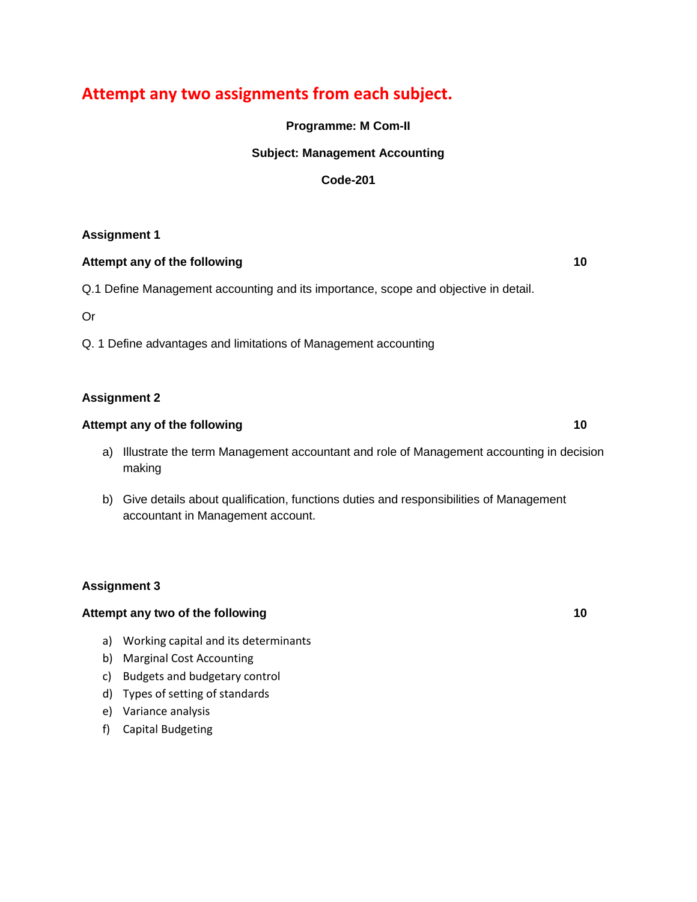# **Attempt any two assignments from each subject.**

**Programme: M Com-II**

## **Subject: Management Accounting**

#### **Code-201**

## **Assignment 1**

#### **Attempt any of the following 10**

## Q.1 Define Management accounting and its importance, scope and objective in detail.

Or

Q. 1 Define advantages and limitations of Management accounting

## **Assignment 2**

## **Attempt any of the following 10**

- a) Illustrate the term Management accountant and role of Management accounting in decision making
- b) Give details about qualification, functions duties and responsibilities of Management accountant in Management account.

## **Assignment 3**

#### **Attempt any two of the following 10**

- a) Working capital and its determinants
- b) Marginal Cost Accounting
- c) Budgets and budgetary control
- d) Types of setting of standards
- e) Variance analysis
- f) Capital Budgeting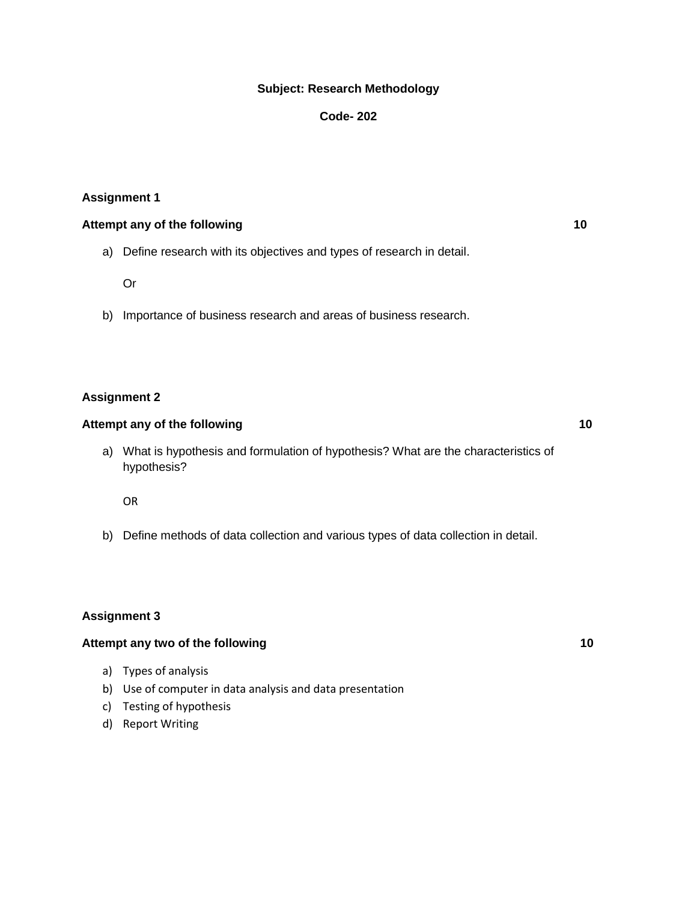#### **Subject: Research Methodology**

#### **Code- 202**

#### **Assignment 1**

#### **Attempt any of the following 10**

a) Define research with its objectives and types of research in detail.

Or

b) Importance of business research and areas of business research.

#### **Assignment 2**

#### Attempt any of the following **10**

a) What is hypothesis and formulation of hypothesis? What are the characteristics of hypothesis?

OR

b) Define methods of data collection and various types of data collection in detail.

#### **Assignment 3**

#### Attempt any two of the following 10

- a) Types of analysis
- b) Use of computer in data analysis and data presentation
- c) Testing of hypothesis
- d) Report Writing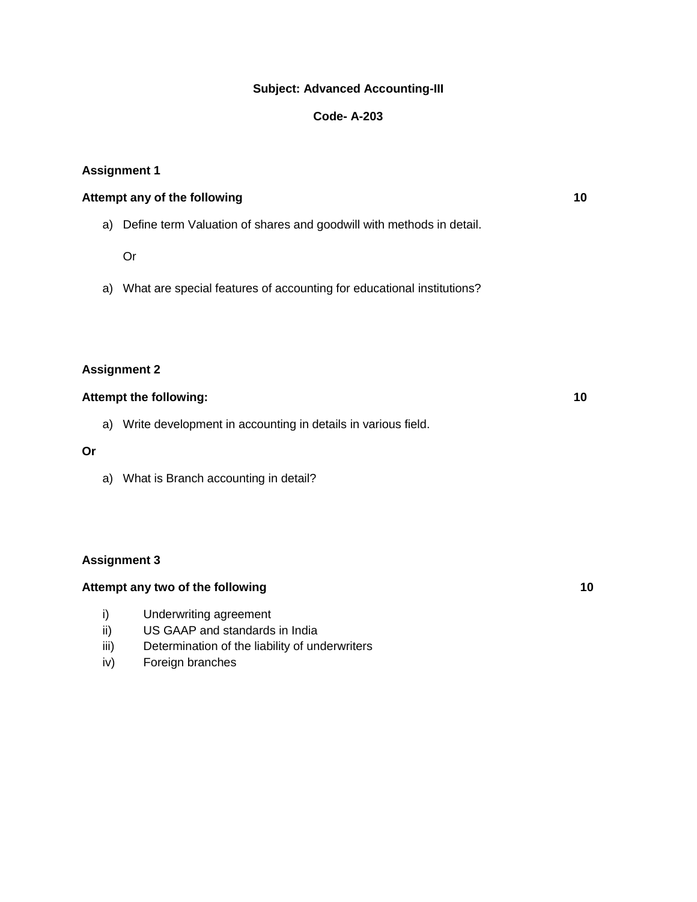## **Subject: Advanced Accounting-III**

## **Code- A-203**

## **Assignment 1**

| Attempt any of the following                                            | 10 |
|-------------------------------------------------------------------------|----|
| a) Define term Valuation of shares and goodwill with methods in detail. |    |

#### Or

a) What are special features of accounting for educational institutions?

## **Assignment 2**

## **Attempt the following: 10**

a) Write development in accounting in details in various field.

## **Or**

a) What is Branch accounting in detail?

## **Assignment 3**

## Attempt any two of the following **10** and the set of the following **10**

- i) Underwriting agreement
- ii) US GAAP and standards in India
- iii) Determination of the liability of underwriters
- iv) Foreign branches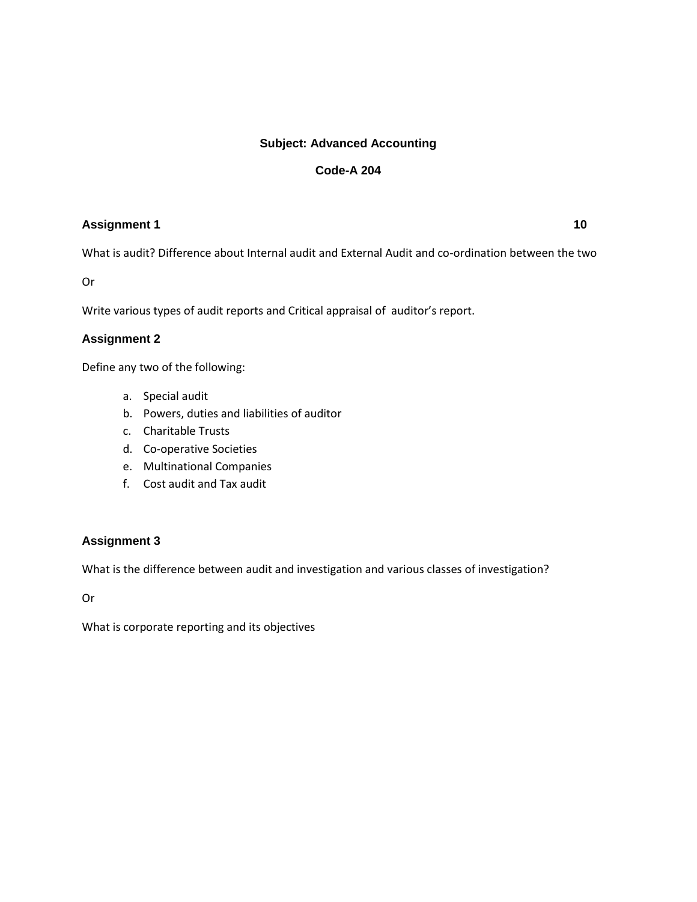## **Subject: Advanced Accounting**

## **Code-A 204**

## **Assignment 1 10**

What is audit? Difference about Internal audit and External Audit and co-ordination between the two

Or

Write various types of audit reports and Critical appraisal of auditor's report.

## **Assignment 2**

Define any two of the following:

- a. Special audit
- b. Powers, duties and liabilities of auditor
- c. Charitable Trusts
- d. Co-operative Societies
- e. Multinational Companies
- f. Cost audit and Tax audit

## **Assignment 3**

What is the difference between audit and investigation and various classes of investigation?

Or

What is corporate reporting and its objectives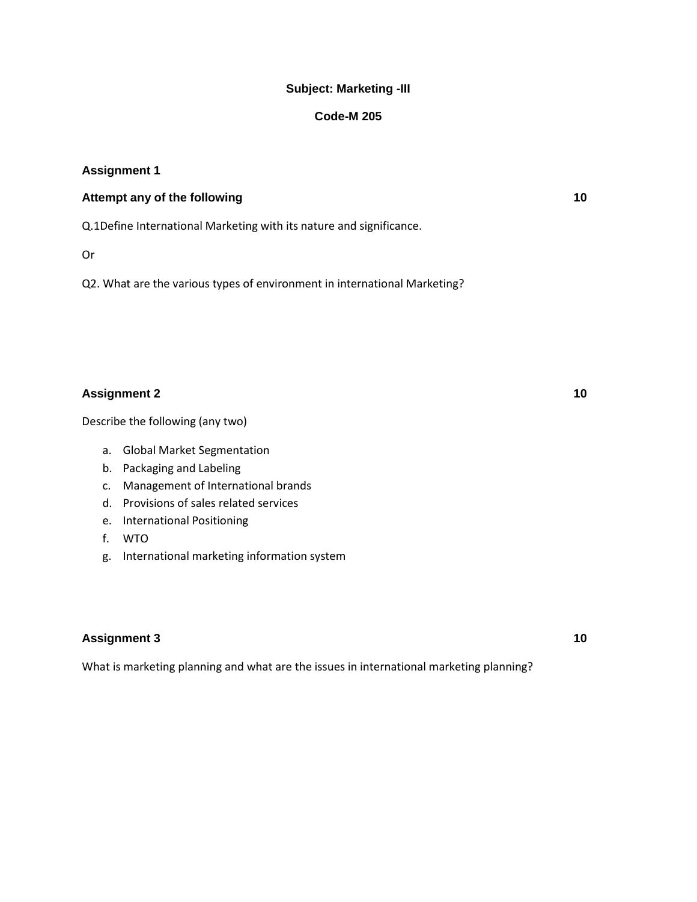## **Subject: Marketing -III**

#### **Code-M 205**

#### **Assignment 1**

## **Attempt any of the following 10**

Q.1Define International Marketing with its nature and significance.

Or

Q2. What are the various types of environment in international Marketing?

## Assignment 2 and 2 and 2 and 2 and 2 and 2 and 2 and 2 and 2 and 2 and 2 and 2 and 2 and 2 and 2 and 2 and 2 and 2 and 2 and 2 and 2 and 2 and 2 and 2 and 2 and 2 and 2 and 2 and 2 and 2 and 2 and 2 and 2 and 2 and 2 and 2

Describe the following (any two)

- a. Global Market Segmentation
- b. Packaging and Labeling
- c. Management of International brands
- d. Provisions of sales related services
- e. International Positioning
- f. WTO
- g. International marketing information system

## **Assignment 3 10**

What is marketing planning and what are the issues in international marketing planning?